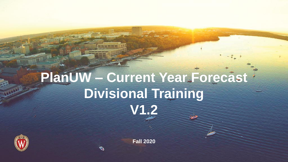# **PlanUW – Current Year Forecast Divisional Training V1.2**



**Fall 2020**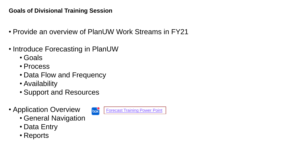#### **Goals of Divisional Training Session**

- Provide an overview of PlanUW Work Streams in FY21
- Introduce Forecasting in PlanUW
	- Goals
	- Process
	- Data Flow and Frequency
	- Availability
	- Support and Resources
- Application Overview
	- General Navigation
	- Data Entry
	- Reports

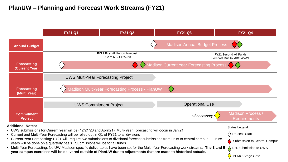#### **PlanUW – Planning and Forecast Work Streams (FY21)**

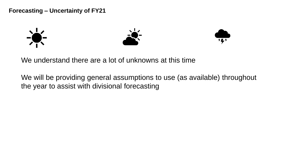**Forecasting – Uncertainty of FY21**







We understand there are a lot of unknowns at this time

We will be providing general assumptions to use (as available) throughout the year to assist with divisional forecasting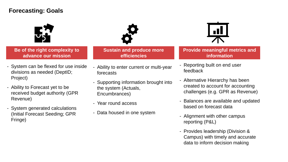#### **Forecasting: Goals**





**Be of the right complexity to advance our mission**

- System can be flexed for use inside divisions as needed (DeptID; Project)
- Ability to Forecast yet to be received budget authority (GPR Revenue)
- System generated calculations (Initial Forecast Seeding; GPR Fringe)

**Sustain and produce more efficiencies**

- Ability to enter current or multi-year forecasts
- Supporting information brought into the system (Actuals, Encumbrances)
- Year round access
- Data housed in one system



**Provide meaningful metrics and information**

- Reporting built on end user feedback
- Alternative Hierarchy has been created to account for accounting challenges (e.g. GPR as Revenue)
- Balances are available and updated based on forecast data
- Alignment with other campus reporting (P&L)
- Provides leadership (Division & Campus) with timely and accurate data to inform decision making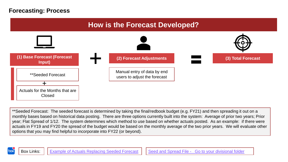

\*\*Seeded Forecast: The seeded forecast is determined by taking the final/redbook budget (e.g. FY21) and then spreading it out on a monthly bases based on historical data posting. There are three options currently built into the system: Average of prior two years; Prior year; Flat Spread of 1/12. The system determines which method to use based on whether actuals posted. As an example: if there were actuals in FY19 and FY20 the spread of the budget would be based on the monthly average of the two prior years. We will evaluate other options that you may find helpful to incorporate into FY22 (or beyond).



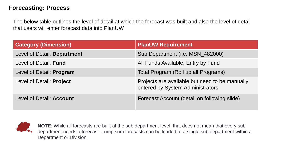The below table outlines the level of detail at which the forecast was built and also the level of detail that users will enter forecast data into PlanUW

| <b>Category (Dimension)</b>     | <b>PlanUW Requirement</b>                                                          |
|---------------------------------|------------------------------------------------------------------------------------|
| Level of Detail: Department     | Sub Department (i.e. MSN_482000)                                                   |
| Level of Detail: Fund           | All Funds Available, Entry by Fund                                                 |
| Level of Detail: Program        | Total Program (Roll up all Programs)                                               |
| Level of Detail: Project        | Projects are available but need to be manually<br>entered by System Administrators |
| Level of Detail: <b>Account</b> | Forecast Account (detail on following slide)                                       |



**NOTE**: While all forecasts are built at the sub department level, that does not mean that every sub department needs a forecast. Lump sum forecasts can be loaded to a single sub department within a Department or Division.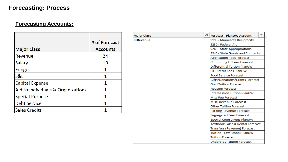#### **Forecasting Accounts:**

| <b>Major Class</b>                 | # of Forecast<br><b>Accounts</b> |
|------------------------------------|----------------------------------|
| Revenue                            | 24                               |
| Salary                             | 10                               |
| <b>Fringe</b>                      | 1                                |
| S&E                                | 1                                |
| <b>Capital Expense</b>             | 1                                |
| Aid to Individuals & Organizations | 1                                |
| <b>Special Purpose</b>             | 1                                |
| <b>Debt Service</b>                |                                  |
| <b>Sales Credits</b>               |                                  |

| <b>Major Class</b> | JТ | ▼<br><b>Forecast - PlanUW Account</b> |  |  |
|--------------------|----|---------------------------------------|--|--|
| ⊟Revenue           |    | 9199 - Minnesota Reciprocity          |  |  |
|                    |    | 9230 - Federal Aid                    |  |  |
|                    |    | 9240 - State Appropriations           |  |  |
|                    |    | 9245 - State Grants and Contracts     |  |  |
|                    |    | <b>Application Fees Forecast</b>      |  |  |
|                    |    | Continuing Ed Fees Forecast           |  |  |
|                    |    | Differential Tuition PlanUW           |  |  |
|                    |    | <b>EXT Credit Fees PlanUW</b>         |  |  |
|                    |    | <b>Food Service Forecast</b>          |  |  |
|                    |    | Gifts/Donations/Grants Forecast       |  |  |
|                    |    | <b>Grad Tuition Forecast</b>          |  |  |
|                    |    | <b>Housing Forecast</b>               |  |  |
|                    |    | <b>Intersession Tuition PlanUW</b>    |  |  |
|                    |    | Misc Fee Forecast                     |  |  |
|                    |    | Misc. Revenue Forecast                |  |  |
|                    |    | <b>Other Tuition Forecast</b>         |  |  |
|                    |    | Parking Revenue Forecast              |  |  |
|                    |    | Segregated Fees Forecast              |  |  |
|                    |    | Special Course Fees PlanUW            |  |  |
|                    |    | Textbook Sales & Rental Forecast      |  |  |
|                    |    | Transfers (Revenue) Forecast          |  |  |
|                    |    | Tuition - Law School PlanUW           |  |  |
|                    |    | <b>Tuition Forecast</b>               |  |  |
|                    |    | <b>Undergrad Tuition Forecast</b>     |  |  |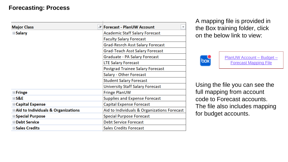| <b>Major Class</b>                             | - Forecast - PlanUW Account<br>▼            |
|------------------------------------------------|---------------------------------------------|
| $\blacksquare$ Salary                          | Academic Staff Salary Forecast              |
|                                                | <b>Faculty Salary Forecast</b>              |
|                                                | <b>Grad-Resrch Asst Salary Forecast</b>     |
|                                                | <b>Grad-Teach Asst Salary Forecast</b>      |
|                                                | Graduate - PA Salary Forecast               |
|                                                | <b>LTE Salary Forecast</b>                  |
|                                                | <b>Postgrad Trainee Salary Forecast</b>     |
|                                                | Salary - Other Forecast                     |
|                                                | <b>Student Salary Forecast</b>              |
|                                                | University Staff Salary Forecast            |
| $\blacksquare$ Fringe                          | Fringe PlanUW                               |
| ⊟S&E                                           | <b>Supplies and Expense Forecast</b>        |
| <b>⊟Capital Expense</b>                        | <b>Capital Expense Forecast</b>             |
| <b>■Aid to Individuals &amp; Organizations</b> | Aid to Individuals & Organizations Forecast |
| <b>⊟Special Purpose</b>                        | <b>Special Purpose Forecast</b>             |
| <b>□Debt Service</b>                           | <b>Debt Service Forecast</b>                |
| <b>■Sales Credits</b>                          | <b>Sales Credits Forecast</b>               |

A mapping file is provided in the Box training folder, click on the below link to view:



PlanUW Account – Budget – [Forecast Mapping File](https://uwmadison.box.com/s/roomci8iut8rlthchmo7hdw31m5r9nqz)

Using the file you can see the full mapping from account code to Forecast accounts. The file also includes mapping for budget accounts.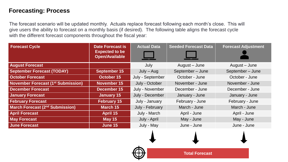The forecast scenario will be updated monthly. Actuals replace forecast following each month's close. This will give users the ability to forecast on a monthly basis (if desired). The following table aligns the forecast cycle with the different forecast components throughout the fiscal year:

| <b>Forecast Cycle</b>                     | <b>Date Forecast is</b><br><b>Expected to be</b><br><b>Open/Available</b> | <b>Actual Data</b> | <b>Seeded Forecast Data</b> | <b>Forecast Adjustment</b> |
|-------------------------------------------|---------------------------------------------------------------------------|--------------------|-----------------------------|----------------------------|
| <b>August Forecast</b>                    |                                                                           | July               | August – June               | August – June              |
| <b>September Forecast (TODAY)</b>         | September 15                                                              | $July - Aug$       | September-June              | September-June             |
| <b>October Forecast</b>                   | October 15                                                                | July - September   | October - June              | October - June             |
| <b>November Forecast (1st Submission)</b> | November 15                                                               | July - October     | November - June             | November - June            |
| <b>December Forecast</b>                  | December 15                                                               | July - November    | December - June             | December - June            |
| <b>January Forecast</b>                   | <b>January 15</b>                                                         | July - December    | January - June              | January - June             |
| <b>February Forecast</b>                  | <b>February 15</b>                                                        | July - January     | February - June             | February - June            |
| <b>March Forecast (2nd Submission)</b>    | <b>March 15</b>                                                           | July - February    | March - June                | March - June               |
| <b>April Forecast</b>                     | <b>April 15</b>                                                           | July - March       | April - June                | April - June               |
| <b>May Forecast</b>                       | <b>May 15</b>                                                             | July - April       | May - June                  | May - June                 |
| <b>June Forecast</b>                      | June 15                                                                   | July - May         | June - June                 | June - June                |

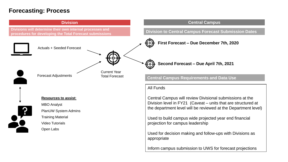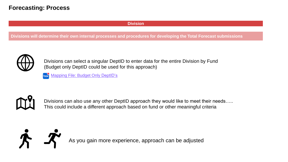#### **Division**

**Divisions will determine their own internal processes and procedures for developing the Total Forecast submissions**



Divisions can select a singular DeptID to enter data for the entire Division by Fund (Budget only DeptID could be used for this approach)

box [Mapping File: Budget Only DeptID's](https://uwmadison.box.com/s/roomci8iut8rlthchmo7hdw31m5r9nqz)



Divisions can also use any other DeptID approach they would like to meet their needs..... This could include a different approach based on fund or other meaningful criteria



As you gain more experience, approach can be adjusted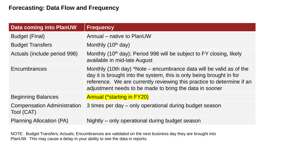| <b>Data coming into PlanUW</b>                   | <b>Frequency</b>                                                                                                                                                                                                                                                                 |
|--------------------------------------------------|----------------------------------------------------------------------------------------------------------------------------------------------------------------------------------------------------------------------------------------------------------------------------------|
| <b>Budget (Final)</b>                            | Annual – native to PlanUW                                                                                                                                                                                                                                                        |
| <b>Budget Transfers</b>                          | Monthly (10 <sup>th</sup> day)                                                                                                                                                                                                                                                   |
| Actuals (include period 998)                     | Monthly (10 <sup>th</sup> day); Period 998 will be subject to FY closing, likely<br>available in mid-late August                                                                                                                                                                 |
| Encumbrances                                     | Monthly (10th day) *Note – encumbrance data will be valid as of the<br>day it is brought into the system, this is only being brought in for<br>reference. We are currently reviewing this practice to determine if an<br>adjustment needs to be made to bring the data in sooner |
| <b>Beginning Balances</b>                        | <b>Annual (*starting in FY20)</b>                                                                                                                                                                                                                                                |
| <b>Compensation Administration</b><br>Tool (CAT) | 3 times per day – only operational during budget season                                                                                                                                                                                                                          |
| <b>Planning Allocation (PA)</b>                  | Nightly – only operational during budget season                                                                                                                                                                                                                                  |

NOTE: Budget Transfers; Actuals; Encumbrances are validated on the next business day they are brought into PlanUW. This may cause a delay in your ability to see the data in reports.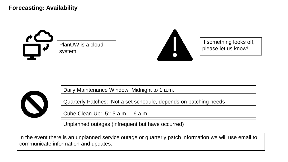**Forecasting: Availability**



PlanUW is a cloud system



If something looks off, please let us know!



Daily Maintenance Window: Midnight to 1 a.m.

Quarterly Patches: Not a set schedule, depends on patching needs

Cube Clean-Up: 5:15 a.m. – 6 a.m.

Unplanned outages (infrequent but have occurred)

In the event there is an unplanned service outage or quarterly patch information we will use email to communicate information and updates.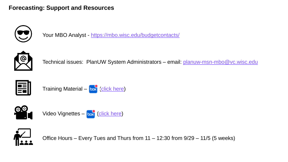#### **Forecasting: Support and Resources**



Your MBO Analyst - <https://mbo.wisc.edu/budgetcontacts/>



Technical issues: PlanUW System Administrators - email: planuw-msn-mbo@vc.wisc.edu



Training Material –  $\frac{1}{2}$  [\(click here\)](https://uwmadison.box.com/s/5hcbatc70uumx52fe9jnsjc4nx3t5tzh)



Video Vignettes – box [\(click here](https://uwmadison.box.com/s/8p1s8o2k1hao4duecd37lruin9b91ckn))



Office Hours – Every Tues and Thurs from 11 – 12:30 from 9/29 – 11/5 (5 weeks)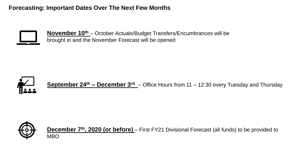**Forecasting: Important Dates Over The Next Few Months**



**November 10th** – October Actuals/Budget Transfers/Encumbrances will be brought in and the November Forecast will be opened



**September 24th – December 3rd** – Office Hours from 11 – 12:30 every Tuesday and Thursday



**December 7<sup>th</sup>, 2020 (or before)** – First FY21 Divisional Forecast (all funds) to be provided to MBO